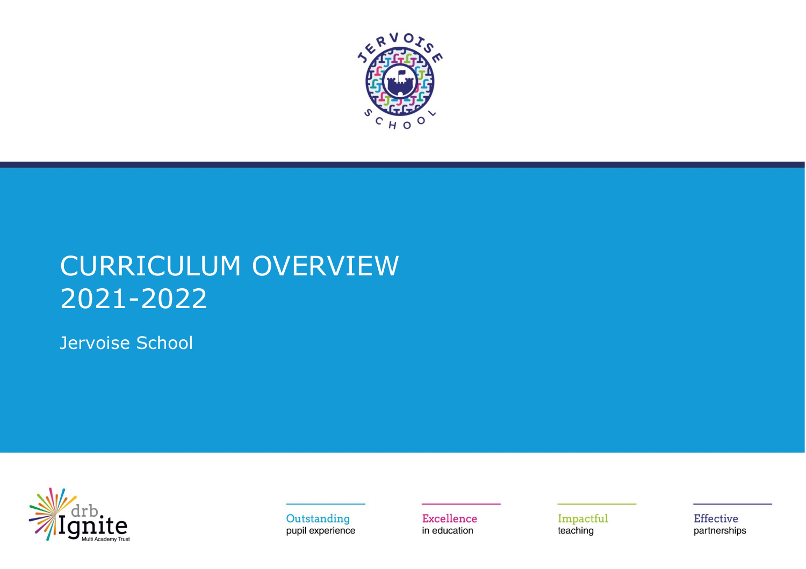

## CURRICULUM OVERVIEW 2021-2022

Jervoise School



Outstanding pupil experience Excellence in education

Impactful teaching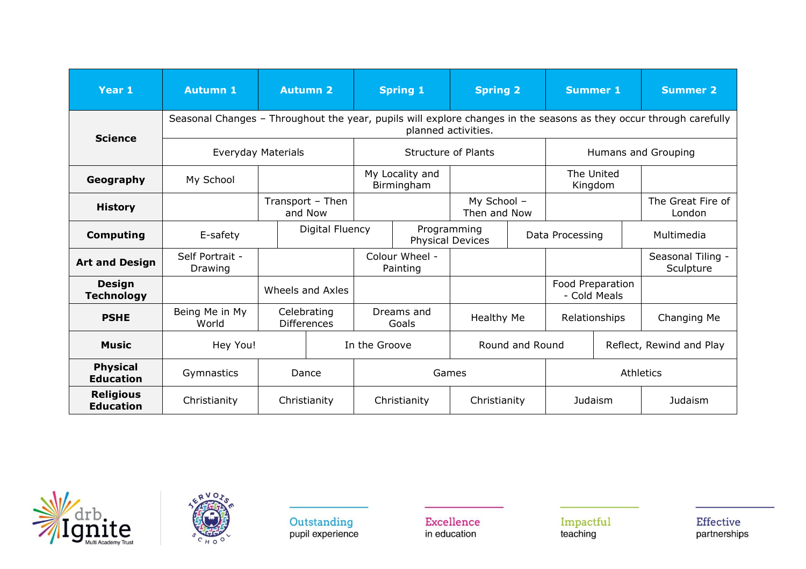| Year 1                               | <b>Autumn 1</b>                                                                                                                                             |                    | <b>Autumn 2</b>                   | <b>Spring 1</b><br><b>Spring 2</b> |                            | <b>Summer 1</b>                        |  | <b>Summer 2</b>       |              |                                |  |
|--------------------------------------|-------------------------------------------------------------------------------------------------------------------------------------------------------------|--------------------|-----------------------------------|------------------------------------|----------------------------|----------------------------------------|--|-----------------------|--------------|--------------------------------|--|
|                                      | Seasonal Changes - Throughout the year, pupils will explore changes in the seasons as they occur through carefully<br>planned activities.<br><b>Science</b> |                    |                                   |                                    |                            |                                        |  |                       |              |                                |  |
|                                      |                                                                                                                                                             | Everyday Materials |                                   |                                    |                            | <b>Structure of Plants</b>             |  | Humans and Grouping   |              |                                |  |
| Geography                            | My School                                                                                                                                                   |                    |                                   | My Locality and<br>Birmingham      |                            |                                        |  | The United<br>Kingdom |              |                                |  |
| <b>History</b>                       |                                                                                                                                                             |                    | Transport - Then<br>and Now       |                                    |                            | My School -<br>Then and Now            |  |                       |              | The Great Fire of<br>London    |  |
| <b>Computing</b>                     | E-safety                                                                                                                                                    |                    | Digital Fluency                   |                                    |                            | Programming<br><b>Physical Devices</b> |  | Data Processing       |              | Multimedia                     |  |
| <b>Art and Design</b>                | Self Portrait -<br>Drawing                                                                                                                                  |                    |                                   |                                    | Colour Wheel -<br>Painting |                                        |  |                       |              | Seasonal Tiling -<br>Sculpture |  |
| <b>Design</b><br><b>Technology</b>   |                                                                                                                                                             |                    | Wheels and Axles                  |                                    |                            |                                        |  | Food Preparation      | - Cold Meals |                                |  |
| <b>PSHE</b>                          | Being Me in My<br>World                                                                                                                                     |                    | Celebrating<br><b>Differences</b> | Dreams and<br>Goals                |                            | <b>Healthy Me</b>                      |  | Relationships         |              | Changing Me                    |  |
| <b>Music</b>                         | Hey You!                                                                                                                                                    |                    |                                   |                                    | In the Groove              | Round and Round                        |  |                       |              | Reflect, Rewind and Play       |  |
| <b>Physical</b><br><b>Education</b>  | Gymnastics                                                                                                                                                  |                    | Dance                             |                                    |                            | Games                                  |  | Athletics             |              |                                |  |
| <b>Religious</b><br><b>Education</b> | Christianity                                                                                                                                                |                    | Christianity                      |                                    | Christianity               | Christianity                           |  | <b>Judaism</b>        |              | Judaism                        |  |





Excellence in education

Impactful<br>teaching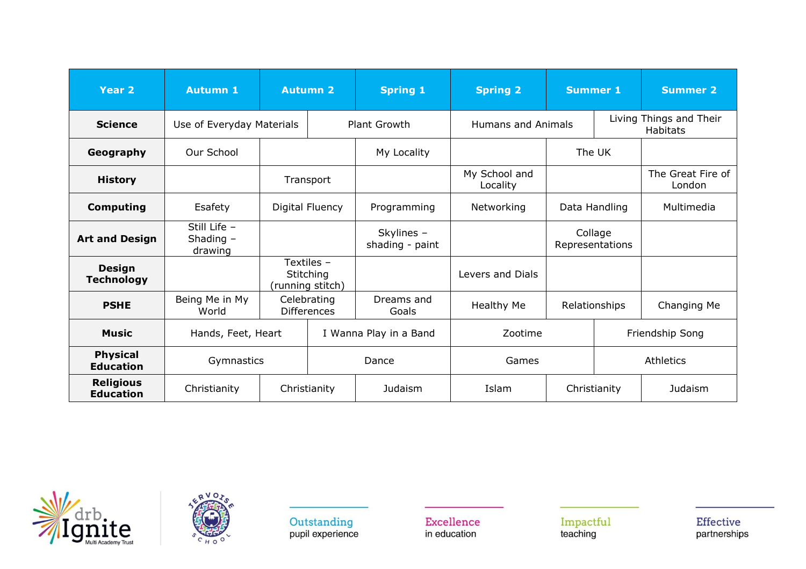| Year <sub>2</sub>                    | <b>Autumn 1</b>                      |                 | <b>Autumn 2</b>                             | <b>Spring 1</b>               | <b>Spring 2</b>           |                            |               | <b>Summer 1</b>                            |  | <b>Summer 2</b> |
|--------------------------------------|--------------------------------------|-----------------|---------------------------------------------|-------------------------------|---------------------------|----------------------------|---------------|--------------------------------------------|--|-----------------|
| <b>Science</b>                       | Use of Everyday Materials            |                 |                                             | <b>Plant Growth</b>           | <b>Humans and Animals</b> |                            |               | Living Things and Their<br><b>Habitats</b> |  |                 |
| Geography                            | Our School                           |                 |                                             | My Locality                   |                           |                            | The UK        |                                            |  |                 |
| <b>History</b>                       |                                      |                 | Transport                                   |                               | My School and<br>Locality |                            |               | The Great Fire of<br>London                |  |                 |
| <b>Computing</b>                     | Esafety                              | Digital Fluency |                                             | Programming                   | Networking                | Data Handling              |               | Multimedia                                 |  |                 |
| <b>Art and Design</b>                | Still Life -<br>Shading -<br>drawing |                 |                                             | Skylines -<br>shading - paint |                           | Collage<br>Representations |               |                                            |  |                 |
| <b>Design</b><br><b>Technology</b>   |                                      |                 | Textiles -<br>Stitching<br>(running stitch) |                               | Levers and Dials          |                            |               |                                            |  |                 |
| <b>PSHE</b>                          | Being Me in My<br>World              |                 | Celebrating<br><b>Differences</b>           | Dreams and<br>Goals           | Healthy Me                |                            | Relationships | Changing Me                                |  |                 |
| <b>Music</b>                         | Hands, Feet, Heart                   |                 |                                             | I Wanna Play in a Band        | Zootime                   |                            |               | Friendship Song                            |  |                 |
| <b>Physical</b><br><b>Education</b>  | Gymnastics                           |                 |                                             | Dance                         | Games                     |                            |               | Athletics                                  |  |                 |
| <b>Religious</b><br><b>Education</b> | Christianity                         |                 | Christianity                                | Judaism                       | Islam                     | Christianity               |               | Judaism                                    |  |                 |





Excellence in education

Impactful<br>teaching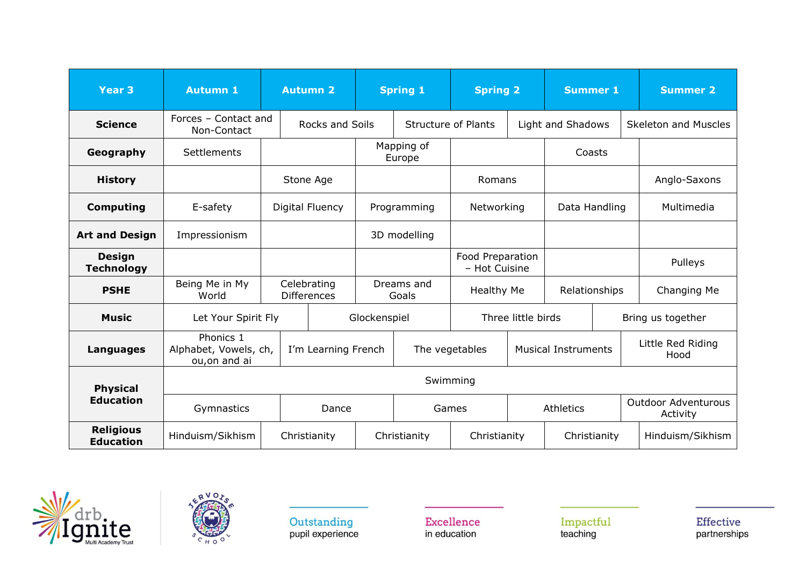| <b>Year 3</b>                        | <b>Autumn 1</b>                                     |           | <b>Autumn 2</b>                   | <b>Spring 1</b> |                      | <b>Spring 2</b>                   |                            | <b>Summer 1</b>   |              | <b>Summer 2</b>                        |  |
|--------------------------------------|-----------------------------------------------------|-----------|-----------------------------------|-----------------|----------------------|-----------------------------------|----------------------------|-------------------|--------------|----------------------------------------|--|
| <b>Science</b>                       | Forces - Contact and<br>Non-Contact                 |           | Rocks and Soils                   |                 |                      | <b>Structure of Plants</b>        |                            | Light and Shadows |              | <b>Skeleton and Muscles</b>            |  |
| Geography                            | Settlements                                         |           |                                   |                 | Mapping of<br>Europe |                                   |                            | Coasts            |              |                                        |  |
| <b>History</b>                       |                                                     | Stone Age |                                   |                 |                      | Romans                            |                            |                   |              | Anglo-Saxons                           |  |
| <b>Computing</b>                     | E-safety                                            |           | Digital Fluency                   |                 | Programming          | Networking                        |                            | Data Handling     |              | Multimedia                             |  |
| <b>Art and Design</b>                | Impressionism                                       |           |                                   | 3D modelling    |                      |                                   |                            |                   |              |                                        |  |
| <b>Design</b><br><b>Technology</b>   |                                                     |           |                                   |                 |                      | Food Preparation<br>- Hot Cuisine |                            |                   |              | Pulleys                                |  |
| <b>PSHE</b>                          | Being Me in My<br>World                             |           | Celebrating<br><b>Differences</b> |                 | Dreams and<br>Goals  | <b>Healthy Me</b>                 |                            | Relationships     |              | Changing Me                            |  |
| <b>Music</b>                         | Let Your Spirit Fly                                 |           |                                   | Glockenspiel    |                      | Three little birds                |                            |                   |              | Bring us together                      |  |
| Languages                            | Phonics 1<br>Alphabet, Vowels, ch,<br>ou, on and ai |           | I'm Learning French               |                 | The vegetables       |                                   | <b>Musical Instruments</b> |                   |              | Little Red Riding<br>Hood              |  |
| <b>Physical</b>                      |                                                     |           |                                   |                 |                      | Swimming                          |                            |                   |              |                                        |  |
| <b>Education</b>                     | Gymnastics                                          |           | Dance                             |                 |                      | Games                             |                            | <b>Athletics</b>  |              | <b>Outdoor Adventurous</b><br>Activity |  |
| <b>Religious</b><br><b>Education</b> | Hinduism/Sikhism                                    |           | Christianity                      |                 | Christianity         |                                   | Christianity               |                   | Christianity | Hinduism/Sikhism                       |  |





Excellence in education

Impactful<br>teaching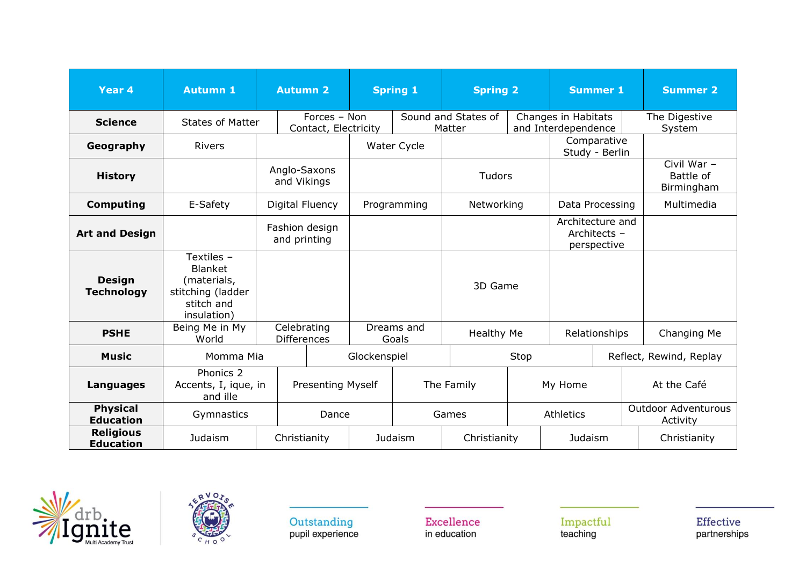| Year <sub>4</sub>                    | <b>Autumn 1</b>                                                                               |                                | <b>Autumn 2</b>                      |  | <b>Spring 1</b>                | <b>Spring 2</b>               |      | <b>Summer 1</b>                                 |  |  | <b>Summer 2</b>                        |
|--------------------------------------|-----------------------------------------------------------------------------------------------|--------------------------------|--------------------------------------|--|--------------------------------|-------------------------------|------|-------------------------------------------------|--|--|----------------------------------------|
| <b>Science</b>                       | <b>States of Matter</b>                                                                       |                                | Forces - Non<br>Contact, Electricity |  |                                | Sound and States of<br>Matter |      | Changes in Habitats<br>and Interdependence      |  |  | The Digestive<br>System                |
| Geography                            | <b>Rivers</b>                                                                                 |                                |                                      |  | Water Cycle                    |                               |      | Comparative<br>Study - Berlin                   |  |  |                                        |
| <b>History</b>                       |                                                                                               | Anglo-Saxons<br>and Vikings    |                                      |  |                                | <b>Tudors</b>                 |      |                                                 |  |  | Civil War -<br>Battle of<br>Birmingham |
| <b>Computing</b>                     | E-Safety                                                                                      |                                | Digital Fluency                      |  | Programming                    | Networking                    |      | Data Processing                                 |  |  | Multimedia                             |
| <b>Art and Design</b>                |                                                                                               | Fashion design<br>and printing |                                      |  |                                |                               |      | Architecture and<br>Architects -<br>perspective |  |  |                                        |
| <b>Design</b><br><b>Technology</b>   | Textiles -<br><b>Blanket</b><br>(materials,<br>stitching (ladder<br>stitch and<br>insulation) |                                |                                      |  |                                | 3D Game                       |      |                                                 |  |  |                                        |
| <b>PSHE</b>                          | Being Me in My<br>World                                                                       |                                | Celebrating<br><b>Differences</b>    |  | Dreams and<br>Goals            | <b>Healthy Me</b>             |      | Relationships                                   |  |  | Changing Me                            |
| <b>Music</b>                         | Momma Mia                                                                                     |                                |                                      |  | Glockenspiel                   |                               | Stop |                                                 |  |  | Reflect, Rewind, Replay                |
| <b>Languages</b>                     | Phonics 2<br>Accents, I, ique, in<br>and ille                                                 |                                | <b>Presenting Myself</b>             |  |                                | The Family                    |      | My Home                                         |  |  | At the Café                            |
| <b>Physical</b><br><b>Education</b>  | Gymnastics                                                                                    |                                | Dance                                |  |                                | Games                         |      | Athletics                                       |  |  | <b>Outdoor Adventurous</b><br>Activity |
| <b>Religious</b><br><b>Education</b> | Judaism                                                                                       | Christianity                   |                                      |  | <b>Judaism</b><br>Christianity |                               |      | Judaism                                         |  |  | Christianity                           |





Excellence in education

Impactful<br>teaching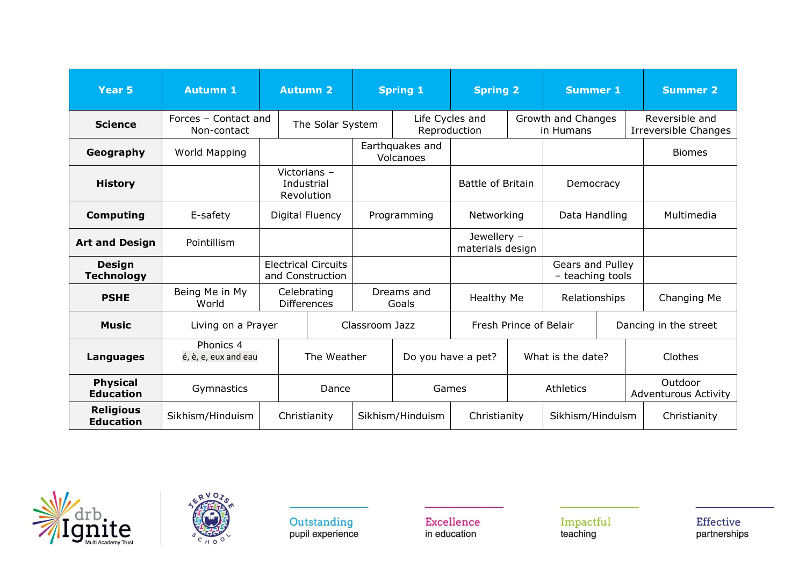| <b>Year 5</b>                        | <b>Autumn 1</b>                     |                                                | <b>Autumn 2</b> |                  | <b>Spring 1</b>              |                                 | <b>Spring 2</b> |                                      | <b>Summer 1</b> | <b>Summer 2</b>                               |
|--------------------------------------|-------------------------------------|------------------------------------------------|-----------------|------------------|------------------------------|---------------------------------|-----------------|--------------------------------------|-----------------|-----------------------------------------------|
| <b>Science</b>                       | Forces - Contact and<br>Non-contact |                                                |                 | The Solar System |                              | Life Cycles and<br>Reproduction |                 | Growth and Changes<br>in Humans      |                 | Reversible and<br><b>Irreversible Changes</b> |
| Geography                            | World Mapping                       |                                                |                 |                  | Earthquakes and<br>Volcanoes |                                 |                 |                                      |                 | <b>Biomes</b>                                 |
| <b>History</b>                       |                                     | Victorians -<br>Industrial<br>Revolution       |                 |                  |                              | Battle of Britain               |                 | Democracy                            |                 |                                               |
| <b>Computing</b>                     | E-safety                            | Digital Fluency                                |                 |                  | Programming                  | Networking                      |                 | Data Handling                        |                 | Multimedia                                    |
| <b>Art and Design</b>                | Pointillism                         |                                                |                 |                  |                              | Jewellery -<br>materials design |                 |                                      |                 |                                               |
| <b>Design</b><br><b>Technology</b>   |                                     | <b>Electrical Circuits</b><br>and Construction |                 |                  |                              |                                 |                 | Gears and Pulley<br>- teaching tools |                 |                                               |
| <b>PSHE</b>                          | Being Me in My<br>World             | Celebrating<br><b>Differences</b>              |                 |                  | Dreams and<br>Goals          | Healthy Me                      |                 | Relationships                        |                 | Changing Me                                   |
| <b>Music</b>                         | Living on a Prayer                  |                                                |                 |                  | Classroom Jazz               | Fresh Prince of Belair          |                 |                                      |                 | Dancing in the street                         |
| <b>Languages</b>                     | Phonics 4<br>é, è, e, eux and eau   |                                                | The Weather     |                  |                              | Do you have a pet?              |                 | What is the date?                    |                 | Clothes                                       |
| <b>Physical</b><br><b>Education</b>  | Gymnastics                          |                                                | Dance           |                  |                              | Games                           |                 |                                      |                 | Outdoor<br><b>Adventurous Activity</b>        |
| <b>Religious</b><br><b>Education</b> | Sikhism/Hinduism                    |                                                | Christianity    |                  | Sikhism/Hinduism             | Christianity                    |                 | Sikhism/Hinduism                     |                 | Christianity                                  |





Excellence in education

Impactful<br>teaching